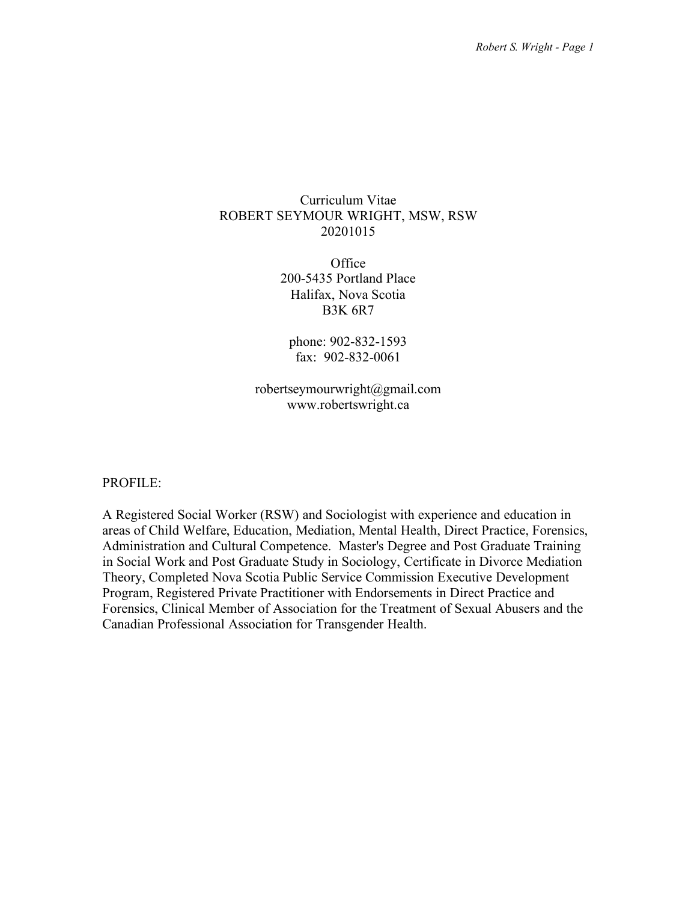## Curriculum Vitae ROBERT SEYMOUR WRIGHT, MSW, RSW 20201015

**Office** 200-5435 Portland Place Halifax, Nova Scotia B3K 6R7

phone: 902-832-1593 fax: 902-832-0061

robertseymourwright@gmail.com www.robertswright.ca

## PROFILE:

A Registered Social Worker (RSW) and Sociologist with experience and education in areas of Child Welfare, Education, Mediation, Mental Health, Direct Practice, Forensics, Administration and Cultural Competence. Master's Degree and Post Graduate Training in Social Work and Post Graduate Study in Sociology, Certificate in Divorce Mediation Theory, Completed Nova Scotia Public Service Commission Executive Development Program, Registered Private Practitioner with Endorsements in Direct Practice and Forensics, Clinical Member of Association for the Treatment of Sexual Abusers and the Canadian Professional Association for Transgender Health.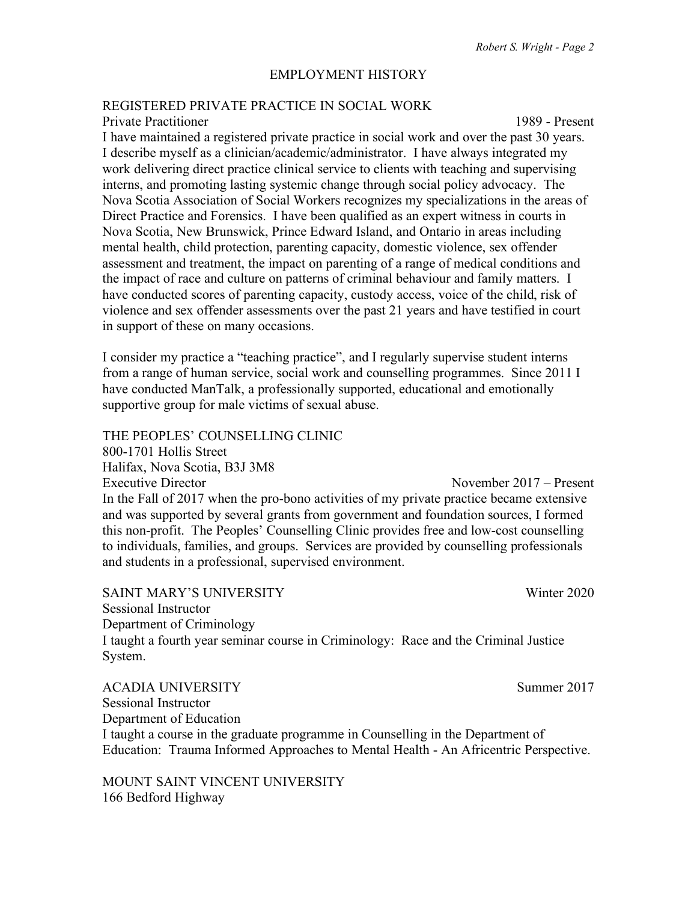## EMPLOYMENT HISTORY

## REGISTERED PRIVATE PRACTICE IN SOCIAL WORK

#### Private Practitioner 1989 - Present

I have maintained a registered private practice in social work and over the past 30 years. I describe myself as a clinician/academic/administrator. I have always integrated my work delivering direct practice clinical service to clients with teaching and supervising interns, and promoting lasting systemic change through social policy advocacy. The Nova Scotia Association of Social Workers recognizes my specializations in the areas of Direct Practice and Forensics. I have been qualified as an expert witness in courts in Nova Scotia, New Brunswick, Prince Edward Island, and Ontario in areas including mental health, child protection, parenting capacity, domestic violence, sex offender assessment and treatment, the impact on parenting of a range of medical conditions and the impact of race and culture on patterns of criminal behaviour and family matters. I have conducted scores of parenting capacity, custody access, voice of the child, risk of violence and sex offender assessments over the past 21 years and have testified in court in support of these on many occasions.

I consider my practice a "teaching practice", and I regularly supervise student interns from a range of human service, social work and counselling programmes. Since 2011 I have conducted ManTalk, a professionally supported, educational and emotionally supportive group for male victims of sexual abuse.

THE PEOPLES' COUNSELLING CLINIC

800-1701 Hollis Street Halifax, Nova Scotia, B3J 3M8 Executive Director **November 2017** – Present In the Fall of 2017 when the pro-bono activities of my private practice became extensive and was supported by several grants from government and foundation sources, I formed this non-profit. The Peoples' Counselling Clinic provides free and low-cost counselling to individuals, families, and groups. Services are provided by counselling professionals and students in a professional, supervised environment.

SAINT MARY'S UNIVERSITY Winter 2020 Sessional Instructor Department of Criminology I taught a fourth year seminar course in Criminology: Race and the Criminal Justice System.

ACADIA UNIVERSITY Summer 2017 Sessional Instructor Department of Education I taught a course in the graduate programme in Counselling in the Department of Education: Trauma Informed Approaches to Mental Health - An Africentric Perspective.

MOUNT SAINT VINCENT UNIVERSITY 166 Bedford Highway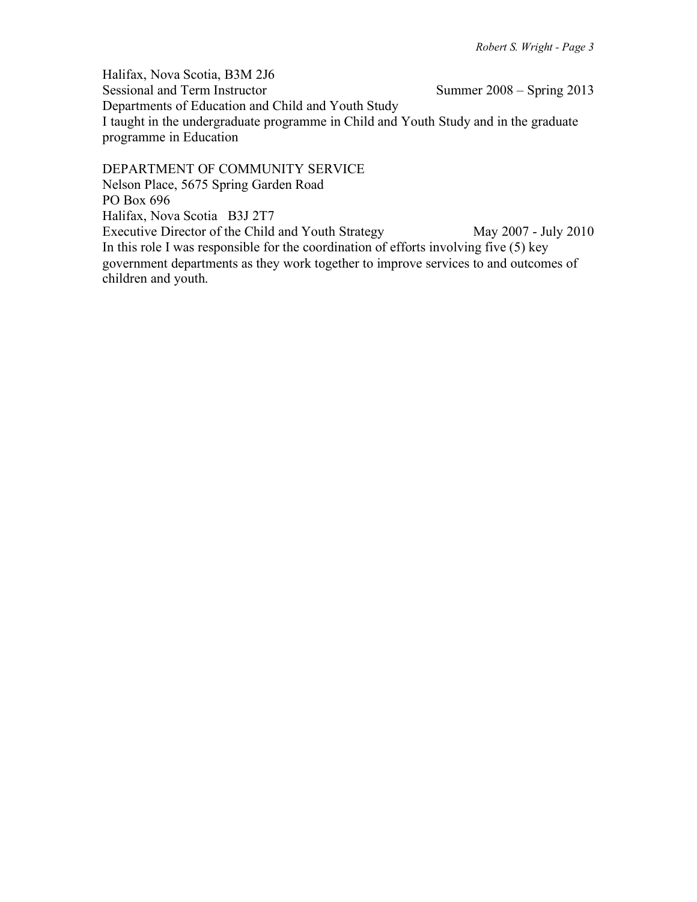Halifax, Nova Scotia, B3M 2J6 Summer  $2008 -$  Spring 2013 Departments of Education and Child and Youth Study I taught in the undergraduate programme in Child and Youth Study and in the graduate programme in Education

DEPARTMENT OF COMMUNITY SERVICE Nelson Place, 5675 Spring Garden Road PO Box 696 Halifax, Nova Scotia B3J 2T7 Executive Director of the Child and Youth Strategy May 2007 - July 2010 In this role I was responsible for the coordination of efforts involving five  $(5)$  key government departments as they work together to improve services to and outcomes of children and youth.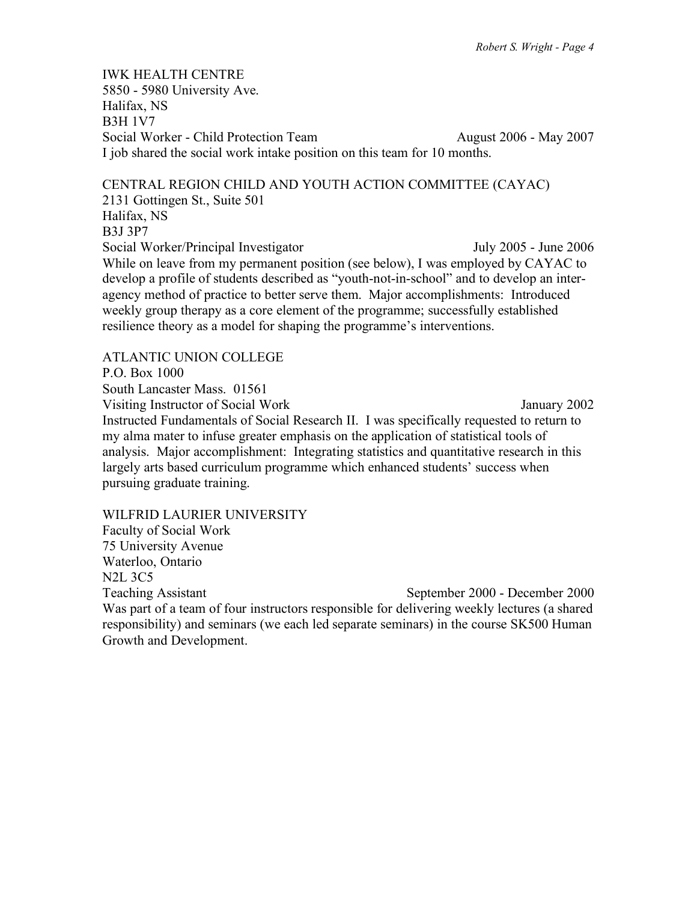IWK HEALTH CENTRE 5850 - 5980 University Ave. Halifax, NS B3H 1V7 Social Worker - Child Protection Team August 2006 - May 2007 I job shared the social work intake position on this team for 10 months.

CENTRAL REGION CHILD AND YOUTH ACTION COMMITTEE (CAYAC) 2131 Gottingen St., Suite 501 Halifax, NS B3J 3P7 Social Worker/Principal Investigator July 2005 - June 2006 While on leave from my permanent position (see below), I was employed by CAYAC to develop a profile of students described as "youth-not-in-school" and to develop an interagency method of practice to better serve them. Major accomplishments: Introduced weekly group therapy as a core element of the programme; successfully established resilience theory as a model for shaping the programme's interventions.

ATLANTIC UNION COLLEGE P.O. Box 1000 South Lancaster Mass. 01561 Visiting Instructor of Social Work January 2002 Instructed Fundamentals of Social Research II. I was specifically requested to return to my alma mater to infuse greater emphasis on the application of statistical tools of analysis. Major accomplishment: Integrating statistics and quantitative research in this largely arts based curriculum programme which enhanced students' success when pursuing graduate training.

WILFRID LAURIER UNIVERSITY Faculty of Social Work 75 University Avenue Waterloo, Ontario N2L 3C5 Teaching Assistant Teaching Assistant September 2000 - December 2000 Was part of a team of four instructors responsible for delivering weekly lectures (a shared responsibility) and seminars (we each led separate seminars) in the course SK500 Human Growth and Development.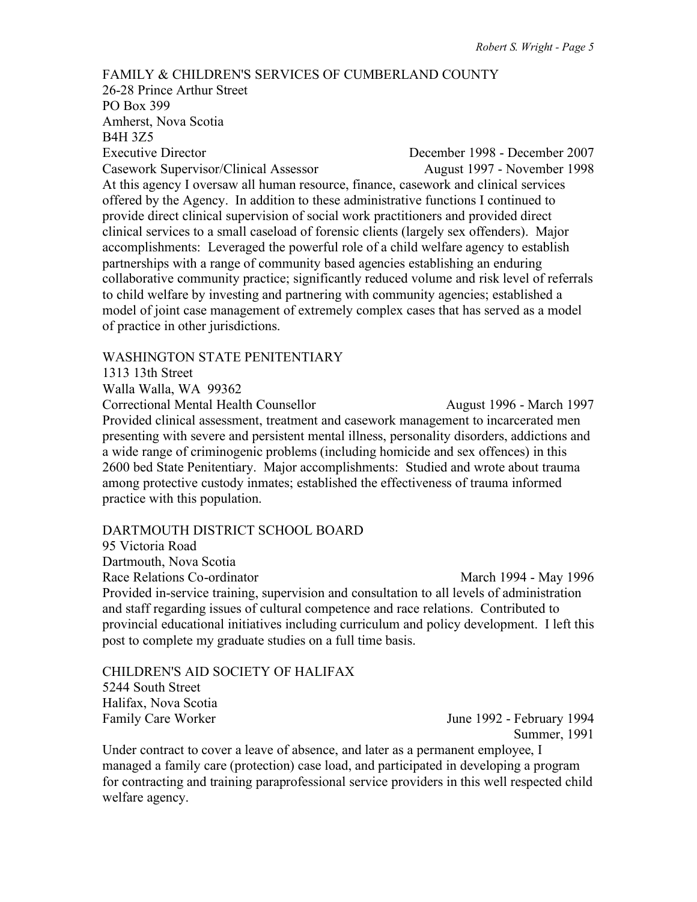FAMILY & CHILDREN'S SERVICES OF CUMBERLAND COUNTY 26-28 Prince Arthur Street PO Box 399 Amherst, Nova Scotia B4H 3Z5 Executive Director December 1998 - December 2007 Casework Supervisor/Clinical Assessor August 1997 - November 1998 At this agency I oversaw all human resource, finance, casework and clinical services offered by the Agency. In addition to these administrative functions I continued to provide direct clinical supervision of social work practitioners and provided direct clinical services to a small caseload of forensic clients (largely sex offenders). Major accomplishments: Leveraged the powerful role of a child welfare agency to establish partnerships with a range of community based agencies establishing an enduring collaborative community practice; significantly reduced volume and risk level of referrals to child welfare by investing and partnering with community agencies; established a model of joint case management of extremely complex cases that has served as a model of practice in other jurisdictions.

## WASHINGTON STATE PENITENTIARY

1313 13th Street

Walla Walla, WA 99362

Correctional Mental Health Counsellor August 1996 - March 1997 Provided clinical assessment, treatment and casework management to incarcerated men presenting with severe and persistent mental illness, personality disorders, addictions and a wide range of criminogenic problems (including homicide and sex offences) in this 2600 bed State Penitentiary. Major accomplishments: Studied and wrote about trauma among protective custody inmates; established the effectiveness of trauma informed practice with this population.

#### DARTMOUTH DISTRICT SCHOOL BOARD

95 Victoria Road Dartmouth, Nova Scotia

Race Relations Co-ordinator March 1994 - May 1996 Provided in-service training, supervision and consultation to all levels of administration and staff regarding issues of cultural competence and race relations. Contributed to provincial educational initiatives including curriculum and policy development. I left this post to complete my graduate studies on a full time basis.

CHILDREN'S AID SOCIETY OF HALIFAX 5244 South Street Halifax, Nova Scotia Family Care Worker June 1992 - February 1994

Summer, 1991

Under contract to cover a leave of absence, and later as a permanent employee, I managed a family care (protection) case load, and participated in developing a program for contracting and training paraprofessional service providers in this well respected child welfare agency.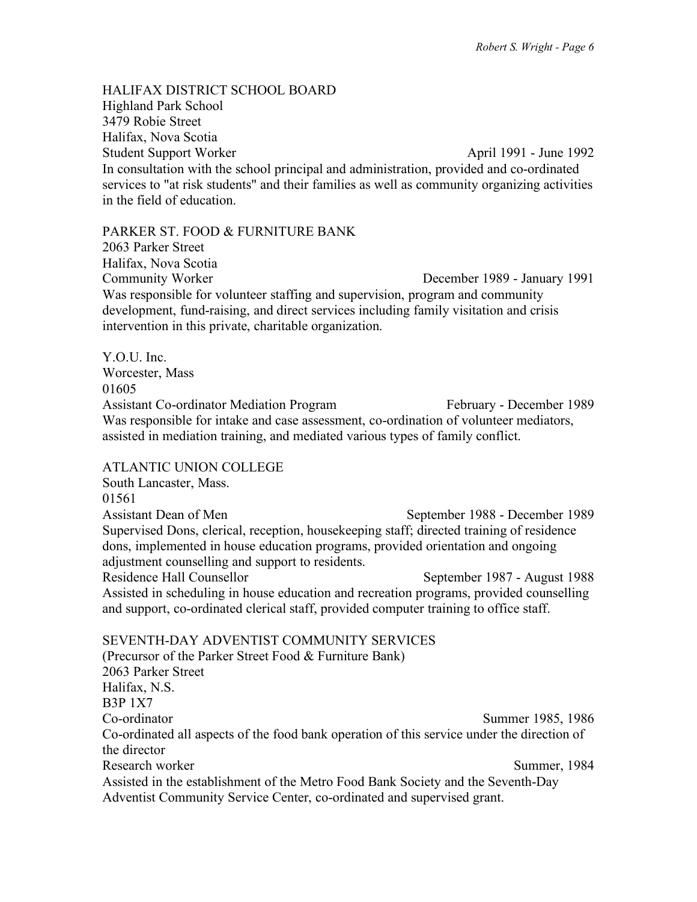HALIFAX DISTRICT SCHOOL BOARD Highland Park School 3479 Robie Street Halifax, Nova Scotia Student Support Worker **April 1991** - June 1992 In consultation with the school principal and administration, provided and co-ordinated services to "at risk students" and their families as well as community organizing activities in the field of education.

#### PARKER ST. FOOD & FURNITURE BANK

2063 Parker Street Halifax, Nova Scotia Community Worker December 1989 - January 1991 Was responsible for volunteer staffing and supervision, program and community development, fund-raising, and direct services including family visitation and crisis intervention in this private, charitable organization.

Y.O.U. Inc. Worcester, Mass 01605 Assistant Co-ordinator Mediation Program February - December 1989 Was responsible for intake and case assessment, co-ordination of volunteer mediators, assisted in mediation training, and mediated various types of family conflict.

## ATLANTIC UNION COLLEGE

South Lancaster, Mass. 01561 Assistant Dean of Men September 1988 - December 1989 Supervised Dons, clerical, reception, housekeeping staff; directed training of residence dons, implemented in house education programs, provided orientation and ongoing adjustment counselling and support to residents. Residence Hall Counsellor September 1987 - August 1988 Assisted in scheduling in house education and recreation programs, provided counselling and support, co-ordinated clerical staff, provided computer training to office staff.

SEVENTH-DAY ADVENTIST COMMUNITY SERVICES (Precursor of the Parker Street Food & Furniture Bank) 2063 Parker Street Halifax, N.S. B3P 1X7 Co-ordinator Summer 1985, 1986 Co-ordinated all aspects of the food bank operation of this service under the direction of the director Research worker Summer, 1984 Assisted in the establishment of the Metro Food Bank Society and the Seventh-Day Adventist Community Service Center, co-ordinated and supervised grant.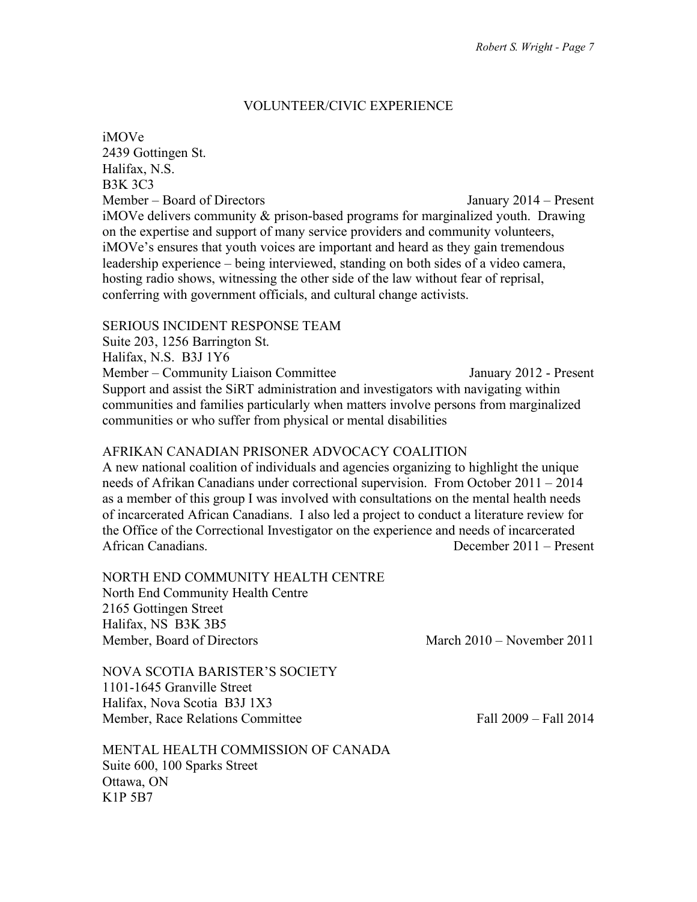## VOLUNTEER/CIVIC EXPERIENCE

iMOVe 2439 Gottingen St. Halifax, N.S. B3K 3C3 Member – Board of Directors January 2014 – Present iMOVe delivers community & prison-based programs for marginalized youth. Drawing on the expertise and support of many service providers and community volunteers, iMOVe's ensures that youth voices are important and heard as they gain tremendous leadership experience – being interviewed, standing on both sides of a video camera, hosting radio shows, witnessing the other side of the law without fear of reprisal, conferring with government officials, and cultural change activists.

## SERIOUS INCIDENT RESPONSE TEAM

Suite 203, 1256 Barrington St. Halifax, N.S. B3J 1Y6 Member – Community Liaison Committee January 2012 - Present Support and assist the SiRT administration and investigators with navigating within communities and families particularly when matters involve persons from marginalized communities or who suffer from physical or mental disabilities

## AFRIKAN CANADIAN PRISONER ADVOCACY COALITION

A new national coalition of individuals and agencies organizing to highlight the unique needs of Afrikan Canadians under correctional supervision. From October 2011 – 2014 as a member of this group I was involved with consultations on the mental health needs of incarcerated African Canadians. I also led a project to conduct a literature review for the Office of the Correctional Investigator on the experience and needs of incarcerated African Canadians. December 2011 – Present

NORTH END COMMUNITY HEALTH CENTRE

North End Community Health Centre 2165 Gottingen Street Halifax, NS B3K 3B5 Member, Board of Directors March 2010 – November 2011

NOVA SCOTIA BARISTER'S SOCIETY 1101-1645 Granville Street Halifax, Nova Scotia B3J 1X3 Member, Race Relations Committee Fall 2009 – Fall 2014

MENTAL HEALTH COMMISSION OF CANADA Suite 600, 100 Sparks Street Ottawa, ON K1P 5B7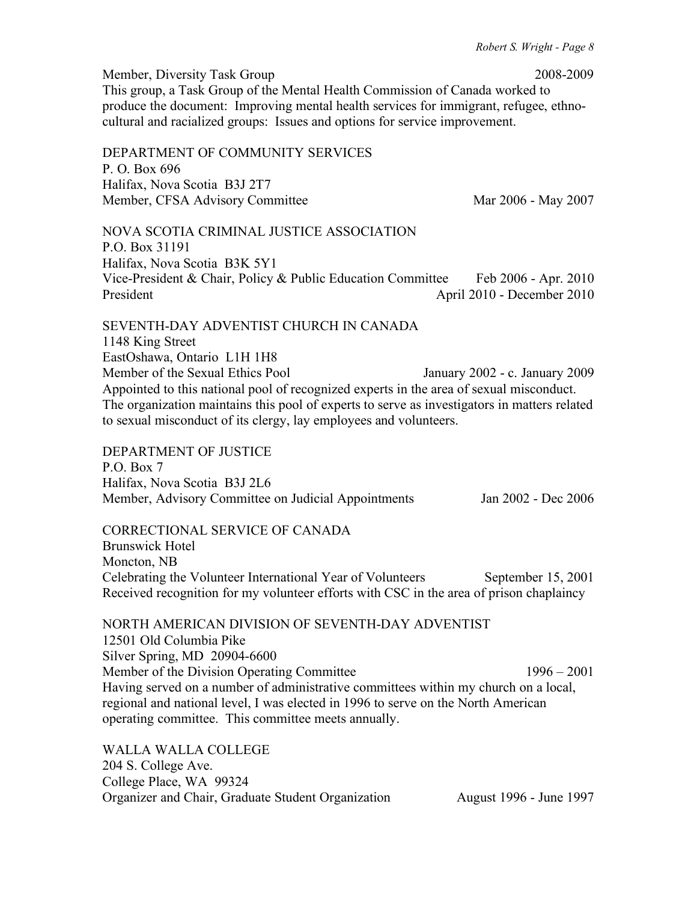Member, Diversity Task Group 2008-2009 This group, a Task Group of the Mental Health Commission of Canada worked to produce the document: Improving mental health services for immigrant, refugee, ethnocultural and racialized groups: Issues and options for service improvement. DEPARTMENT OF COMMUNITY SERVICES P. O. Box 696 Halifax, Nova Scotia B3J 2T7 Member, CFSA Advisory Committee Mar 2006 - May 2007 NOVA SCOTIA CRIMINAL JUSTICE ASSOCIATION P.O. Box 31191 Halifax, Nova Scotia B3K 5Y1 Vice-President & Chair, Policy & Public Education Committee Feb 2006 - Apr. 2010 President April 2010 - December 2010 SEVENTH-DAY ADVENTIST CHURCH IN CANADA 1148 King Street EastOshawa, Ontario L1H 1H8 Member of the Sexual Ethics Pool January 2002 - c. January 2009 Appointed to this national pool of recognized experts in the area of sexual misconduct. The organization maintains this pool of experts to serve as investigators in matters related to sexual misconduct of its clergy, lay employees and volunteers. DEPARTMENT OF JUSTICE P.O. Box 7 Halifax, Nova Scotia B3J 2L6 Member, Advisory Committee on Judicial Appointments Jan 2002 - Dec 2006 CORRECTIONAL SERVICE OF CANADA Brunswick Hotel Moncton, NB Celebrating the Volunteer International Year of Volunteers September 15, 2001 Received recognition for my volunteer efforts with CSC in the area of prison chaplaincy NORTH AMERICAN DIVISION OF SEVENTH-DAY ADVENTIST 12501 Old Columbia Pike Silver Spring, MD 20904-6600 Member of the Division Operating Committee 1996 – 2001 Having served on a number of administrative committees within my church on a local, regional and national level, I was elected in 1996 to serve on the North American operating committee. This committee meets annually.

WALLA WALLA COLLEGE 204 S. College Ave. College Place, WA 99324 Organizer and Chair, Graduate Student Organization August 1996 - June 1997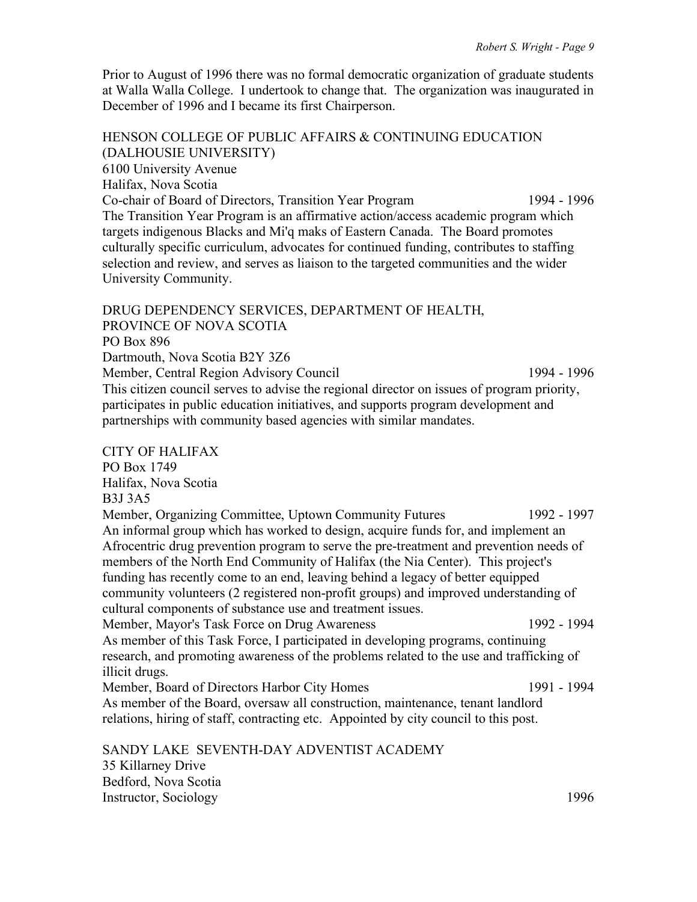Prior to August of 1996 there was no formal democratic organization of graduate students at Walla Walla College. I undertook to change that. The organization was inaugurated in December of 1996 and I became its first Chairperson.

HENSON COLLEGE OF PUBLIC AFFAIRS & CONTINUING EDUCATION (DALHOUSIE UNIVERSITY) 6100 University Avenue Halifax, Nova Scotia Co-chair of Board of Directors, Transition Year Program 1994 - 1996 The Transition Year Program is an affirmative action/access academic program which targets indigenous Blacks and Mi'q maks of Eastern Canada. The Board promotes culturally specific curriculum, advocates for continued funding, contributes to staffing selection and review, and serves as liaison to the targeted communities and the wider University Community.

DRUG DEPENDENCY SERVICES, DEPARTMENT OF HEALTH, PROVINCE OF NOVA SCOTIA PO Box 896 Dartmouth, Nova Scotia B2Y 3Z6 Member, Central Region Advisory Council 1994 - 1996 This citizen council serves to advise the regional director on issues of program priority, participates in public education initiatives, and supports program development and partnerships with community based agencies with similar mandates.

CITY OF HALIFAX PO Box 1749 Halifax, Nova Scotia B3J 3A5 Member, Organizing Committee, Uptown Community Futures 1992 - 1997 An informal group which has worked to design, acquire funds for, and implement an Afrocentric drug prevention program to serve the pre-treatment and prevention needs of members of the North End Community of Halifax (the Nia Center). This project's funding has recently come to an end, leaving behind a legacy of better equipped community volunteers (2 registered non-profit groups) and improved understanding of cultural components of substance use and treatment issues. Member, Mayor's Task Force on Drug Awareness 1992 - 1994 As member of this Task Force, I participated in developing programs, continuing research, and promoting awareness of the problems related to the use and trafficking of illicit drugs. Member, Board of Directors Harbor City Homes 1991 - 1994 As member of the Board, oversaw all construction, maintenance, tenant landlord relations, hiring of staff, contracting etc. Appointed by city council to this post. SANDY LAKE SEVENTH-DAY ADVENTIST ACADEMY

35 Killarney Drive Bedford, Nova Scotia Instructor, Sociology 1996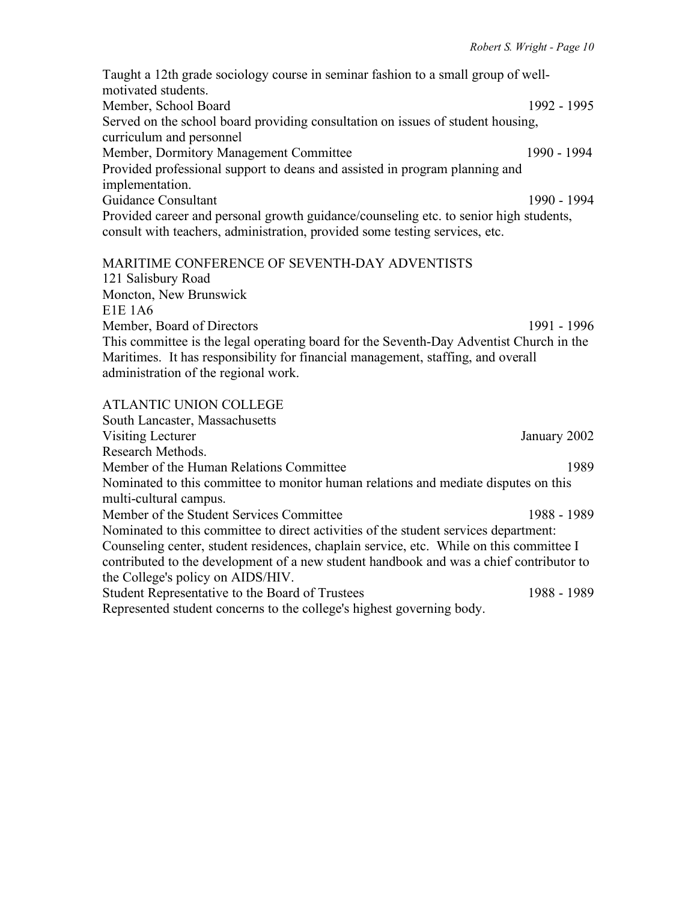Taught a 12th grade sociology course in seminar fashion to a small group of wellmotivated students. Member, School Board 1992 - 1995 Served on the school board providing consultation on issues of student housing, curriculum and personnel Member, Dormitory Management Committee 1990 - 1994 Provided professional support to deans and assisted in program planning and implementation. Guidance Consultant 1990 - 1994 Provided career and personal growth guidance/counseling etc. to senior high students, consult with teachers, administration, provided some testing services, etc.

# MARITIME CONFERENCE OF SEVENTH-DAY ADVENTISTS

121 Salisbury Road Moncton, New Brunswick E1E 1A6 Member, Board of Directors 1991 - 1996 This committee is the legal operating board for the Seventh-Day Adventist Church in the Maritimes. It has responsibility for financial management, staffing, and overall administration of the regional work.

#### ATLANTIC UNION COLLEGE

South Lancaster, Massachusetts Visiting Lecturer January 2002 Research Methods. Member of the Human Relations Committee 1989 Nominated to this committee to monitor human relations and mediate disputes on this multi-cultural campus. Member of the Student Services Committee 1988 - 1989 Nominated to this committee to direct activities of the student services department: Counseling center, student residences, chaplain service, etc. While on this committee I contributed to the development of a new student handbook and was a chief contributor to the College's policy on AIDS/HIV. Student Representative to the Board of Trustees 1988 - 1988 - 1989 Represented student concerns to the college's highest governing body.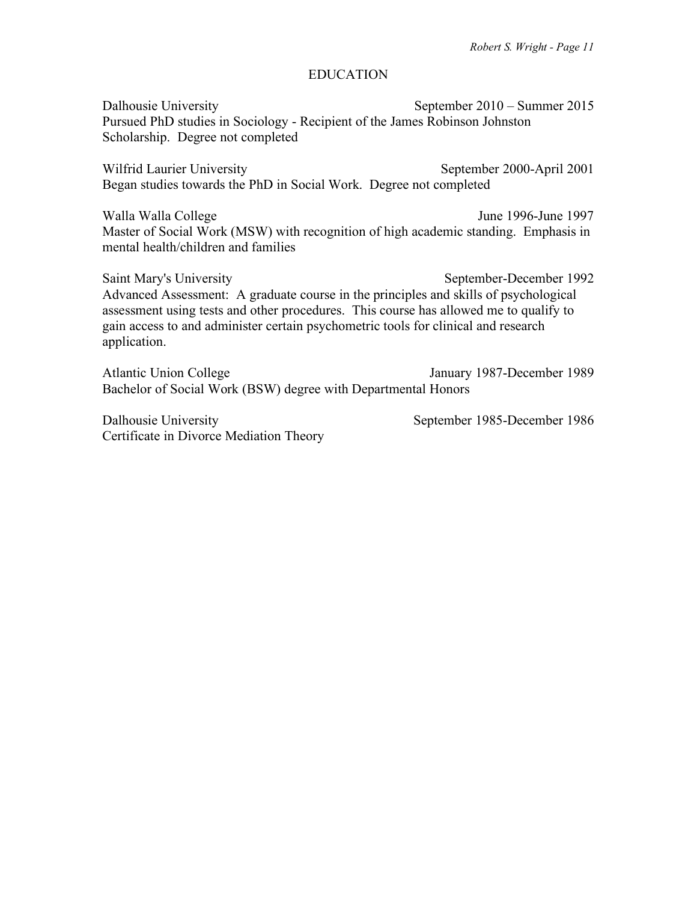## EDUCATION

Dalhousie University September 2010 – Summer 2015 Pursued PhD studies in Sociology - Recipient of the James Robinson Johnston Scholarship. Degree not completed

Wilfrid Laurier University September 2000-April 2001 Began studies towards the PhD in Social Work. Degree not completed

Walla Walla College June 1996-June 1997 Master of Social Work (MSW) with recognition of high academic standing. Emphasis in mental health/children and families

Saint Mary's University September-December 1992 Advanced Assessment: A graduate course in the principles and skills of psychological assessment using tests and other procedures. This course has allowed me to qualify to gain access to and administer certain psychometric tools for clinical and research application.

Atlantic Union College January 1987-December 1989 Bachelor of Social Work (BSW) degree with Departmental Honors

Dalhousie University September 1985-December 1986 Certificate in Divorce Mediation Theory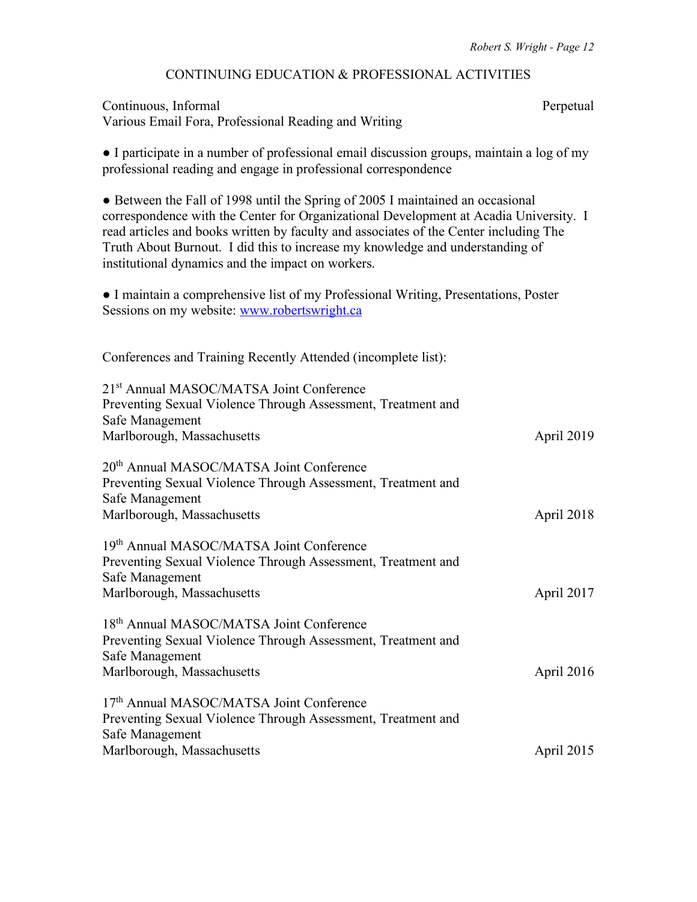## CONTINUING EDUCATION & PROFESSIONAL ACTIVITIES

# Continuous, Informal Perpetual Various Email Fora, Professional Reading and Writing ● I participate in a number of professional email discussion groups, maintain a log of my professional reading and engage in professional correspondence ● Between the Fall of 1998 until the Spring of 2005 I maintained an occasional correspondence with the Center for Organizational Development at Acadia University. I read articles and books written by faculty and associates of the Center including The Truth About Burnout. I did this to increase my knowledge and understanding of institutional dynamics and the impact on workers. ● I maintain a comprehensive list of my Professional Writing, Presentations, Poster Sessions on my website: [www.robertswright.ca](http://www.robertswright.ca/) Conferences and Training Recently Attended (incomplete list): 21st Annual MASOC/MATSA Joint Conference Preventing Sexual Violence Through Assessment, Treatment and Safe Management Marlborough, Massachusetts April 2019 20th Annual MASOC/MATSA Joint Conference Preventing Sexual Violence Through Assessment, Treatment and Safe Management Marlborough, Massachusetts April 2018 19th Annual MASOC/MATSA Joint Conference Preventing Sexual Violence Through Assessment, Treatment and Safe Management Marlborough, Massachusetts April 2017 18th Annual MASOC/MATSA Joint Conference Preventing Sexual Violence Through Assessment, Treatment and Safe Management Marlborough, Massachusetts April 2016 17th Annual MASOC/MATSA Joint Conference Preventing Sexual Violence Through Assessment, Treatment and Safe Management Marlborough, Massachusetts April 2015